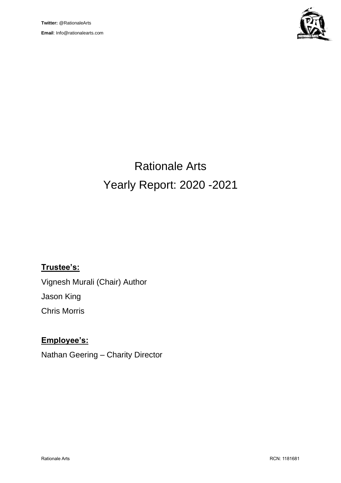

# Rationale Arts Yearly Report: 2020 -2021

# **Trustee's:**

Vignesh Murali (Chair) Author Jason King Chris Morris

# **Employee's:**

Nathan Geering – Charity Director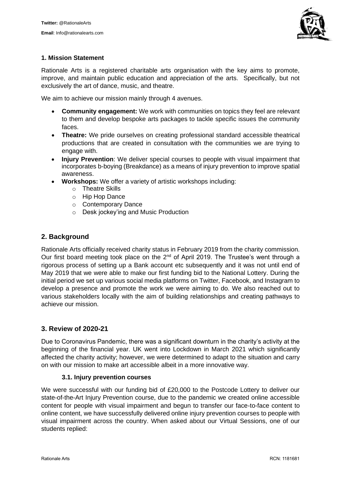

#### **1. Mission Statement**

Rationale Arts is a registered charitable arts organisation with the key aims to promote, improve, and maintain public education and appreciation of the arts. Specifically, but not exclusively the art of dance, music, and theatre.

We aim to achieve our mission mainly through 4 avenues.

- **Community engagement:** We work with communities on topics they feel are relevant to them and develop bespoke arts packages to tackle specific issues the community faces.
- **Theatre:** We pride ourselves on creating professional standard accessible theatrical productions that are created in consultation with the communities we are trying to engage with.
- **Injury Prevention**: We deliver special courses to people with visual impairment that incorporates b-boying (Breakdance) as a means of injury prevention to improve spatial awareness.
- **Workshops:** We offer a variety of artistic workshops including:
	- o Theatre Skills
	- o Hip Hop Dance
	- o Contemporary Dance
	- o Desk jockey'ing and Music Production

#### **2. Background**

Rationale Arts officially received charity status in February 2019 from the charity commission. Our first board meeting took place on the  $2^{nd}$  of April 2019. The Trustee's went through a rigorous process of setting up a Bank account etc subsequently and it was not until end of May 2019 that we were able to make our first funding bid to the National Lottery. During the initial period we set up various social media platforms on Twitter, Facebook, and Instagram to develop a presence and promote the work we were aiming to do. We also reached out to various stakeholders locally with the aim of building relationships and creating pathways to achieve our mission.

#### **3. Review of 2020-21**

Due to Coronavirus Pandemic, there was a significant downturn in the charity's activity at the beginning of the financial year. UK went into Lockdown in March 2021 which significantly affected the charity activity; however, we were determined to adapt to the situation and carry on with our mission to make art accessible albeit in a more innovative way.

#### **3.1. Injury prevention courses**

We were successful with our funding bid of £20,000 to the Postcode Lottery to deliver our state-of-the-Art Injury Prevention course, due to the pandemic we created online accessible content for people with visual impairment and begun to transfer our face-to-face content to online content, we have successfully delivered online injury prevention courses to people with visual impairment across the country. When asked about our Virtual Sessions, one of our students replied: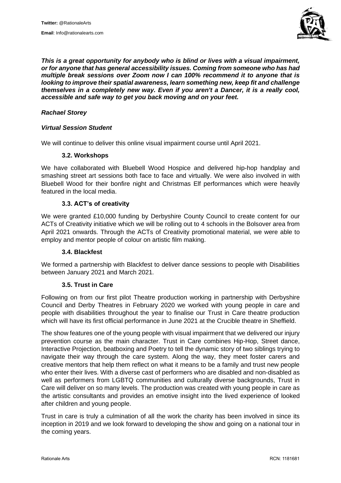

*This is a great opportunity for anybody who is blind or lives with a visual impairment, or for anyone that has general accessibility issues. Coming from someone who has had multiple break sessions over Zoom now I can 100% recommend it to anyone that is looking to improve their spatial awareness, learn something new, keep fit and challenge themselves in a completely new way. Even if you aren't a Dancer, it is a really cool, accessible and safe way to get you back moving and on your feet.*

#### *Rachael Storey*

#### *Virtual Session Student*

We will continue to deliver this online visual impairment course until April 2021.

#### **3.2. Workshops**

We have collaborated with Bluebell Wood Hospice and delivered hip-hop handplay and smashing street art sessions both face to face and virtually. We were also involved in with Bluebell Wood for their bonfire night and Christmas Elf performances which were heavily featured in the local media.

#### **3.3. ACT's of creativity**

We were granted £10,000 funding by Derbyshire County Council to create content for our ACTs of Creativity initiative which we will be rolling out to 4 schools in the Bolsover area from April 2021 onwards. Through the ACTs of Creativity promotional material, we were able to employ and mentor people of colour on artistic film making.

#### **3.4. Blackfest**

We formed a partnership with Blackfest to deliver dance sessions to people with Disabilities between January 2021 and March 2021.

#### **3.5. Trust in Care**

Following on from our first pilot Theatre production working in partnership with Derbyshire Council and Derby Theatres in February 2020 we worked with young people in care and people with disabilities throughout the year to finalise our Trust in Care theatre production which will have its first official performance in June 2021 at the Crucible theatre in Sheffield.

The show features one of the young people with visual impairment that we delivered our injury prevention course as the main character. Trust in Care combines Hip-Hop, Street dance, Interactive Projection, beatboxing and Poetry to tell the dynamic story of two siblings trying to navigate their way through the care system. Along the way, they meet foster carers and creative mentors that help them reflect on what it means to be a family and trust new people who enter their lives. With a diverse cast of performers who are disabled and non-disabled as well as performers from LGBTQ communities and culturally diverse backgrounds. Trust in Care will deliver on so many levels. The production was created with young people in care as the artistic consultants and provides an emotive insight into the lived experience of looked after children and young people.

Trust in care is truly a culmination of all the work the charity has been involved in since its inception in 2019 and we look forward to developing the show and going on a national tour in the coming years.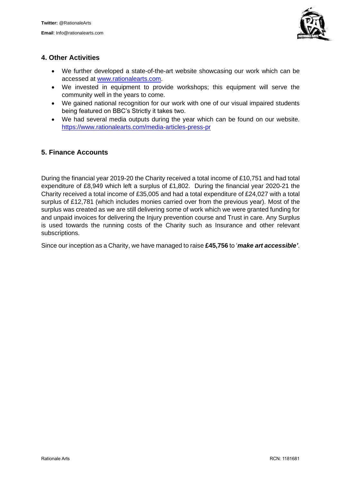

## **4. Other Activities**

- We further developed a state-of-the-art website showcasing our work which can be accessed at [www.rationalearts.com.](http://www.rationalearts.com/)
- We invested in equipment to provide workshops; this equipment will serve the community well in the years to come.
- We gained national recognition for our work with one of our visual impaired students being featured on BBC's Strictly it takes two.
- We had several media outputs during the year which can be found on our website. <https://www.rationalearts.com/media-articles-press-pr>

## **5. Finance Accounts**

During the financial year 2019-20 the Charity received a total income of £10,751 and had total expenditure of £8,949 which left a surplus of £1,802. During the financial year 2020-21 the Charity received a total income of £35,005 and had a total expenditure of £24,027 with a total surplus of £12,781 (which includes monies carried over from the previous year). Most of the surplus was created as we are still delivering some of work which we were granted funding for and unpaid invoices for delivering the Injury prevention course and Trust in care. Any Surplus is used towards the running costs of the Charity such as Insurance and other relevant subscriptions.

Since our inception as a Charity, we have managed to raise **£45,756** to '*make art accessible'*.